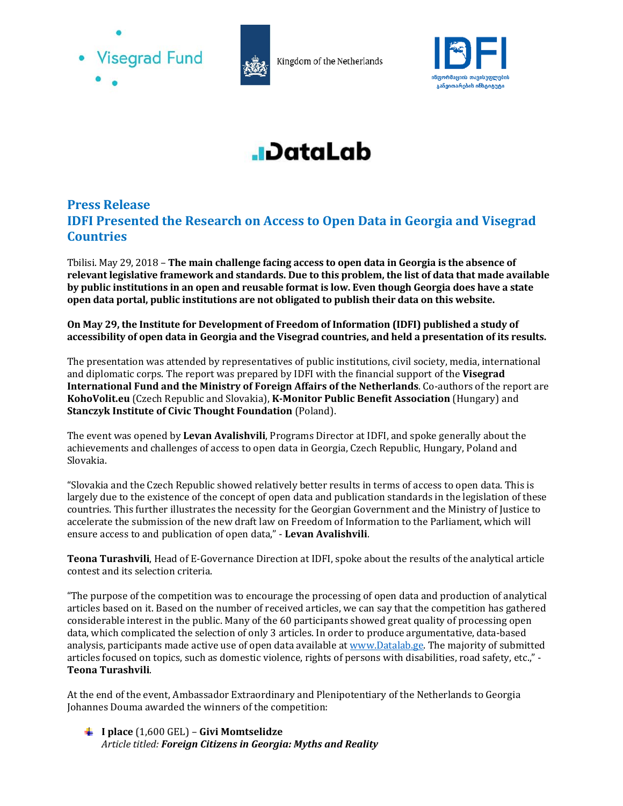



Kingdom of the Netherlands



## **J**DataLab

## **Press Release IDFI Presented the Research on Access to Open Data in Georgia and Visegrad Countries**

Tbilisi. May 29, 2018 – **The main challenge facing access to open data in Georgia is the absence of relevant legislative framework and standards. Due to this problem, the list of data that made available by public institutions in an open and reusable format is low. Even though Georgia does have a state open data portal, public institutions are not obligated to publish their data on this website.**

**On May 29, the Institute for Development of Freedom of Information (IDFI) published a study of accessibility of open data in Georgia and the Visegrad countries, and held a presentation of its results.** 

The presentation was attended by representatives of public institutions, civil society, media, international and diplomatic corps. The report was prepared by IDFI with the financial support of the **Visegrad International Fund and the Ministry of Foreign Affairs of the Netherlands**. Co-authors of the report are **KohoVolit.eu** (Czech Republic and Slovakia), **K-Monitor Public Benefit Association** (Hungary) and **Stanczyk Institute of Civic Thought Foundation** (Poland).

The event was opened by **Levan Avalishvili**, Programs Director at IDFI, and spoke generally about the achievements and challenges of access to open data in Georgia, Czech Republic, Hungary, Poland and Slovakia.

"Slovakia and the Czech Republic showed relatively better results in terms of access to open data. This is largely due to the existence of the concept of open data and publication standards in the legislation of these countries. This further illustrates the necessity for the Georgian Government and the Ministry of Justice to accelerate the submission of the new draft law on Freedom of Information to the Parliament, which will ensure access to and publication of open data," - **Levan Avalishvili**.

**Teona Turashvili**, Head of E-Governance Direction at IDFI, spoke about the results of the analytical article contest and its selection criteria.

"The purpose of the competition was to encourage the processing of open data and production of analytical articles based on it. Based on the number of received articles, we can say that the competition has gathered considerable interest in the public. Many of the 60 participants showed great quality of processing open data, which complicated the selection of only 3 articles. In order to produce argumentative, data-based analysis, participants made active use of open data available at www.Datalab.ge. The majority of submitted articles focused on topics, such as domestic violence, rights of persons with disabilities, road safety, etc.," - **Teona Turashvili**.

At the end of the event, Ambassador Extraordinary and Plenipotentiary of the Netherlands to Georgia Johannes Douma awarded the winners of the competition:

**I place** (1,600 GEL) – **Givi Momtselidze**  *Article titled: Foreign Citizens in Georgia: Myths and Reality*